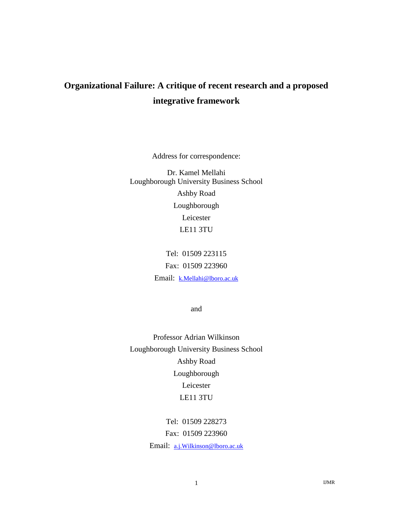# **Organizational Failure: A critique of recent research and a proposed integrative framework**

Address for correspondence:

Dr. Kamel Mellahi Loughborough University Business School Ashby Road Loughborough Leicester LE11 3TU

> Tel: 01509 223115 Fax: 01509 223960 Email: k.Mellahi@lboro.ac.uk

> > and

Professor Adrian Wilkinson Loughborough University Business School Ashby Road Loughborough Leicester LE11 3TU

> Tel: 01509 228273 Fax: 01509 223960 Email: a.j.Wilkinson@lboro.ac.uk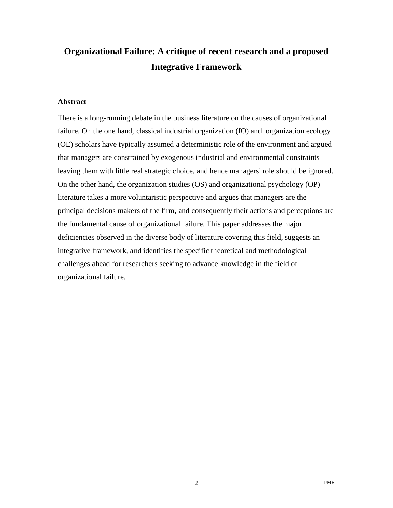# **Organizational Failure: A critique of recent research and a proposed Integrative Framework**

# **Abstract**

There is a long-running debate in the business literature on the causes of organizational failure. On the one hand, classical industrial organization (IO) and organization ecology (OE) scholars have typically assumed a deterministic role of the environment and argued that managers are constrained by exogenous industrial and environmental constraints leaving them with little real strategic choice, and hence managers' role should be ignored. On the other hand, the organization studies (OS) and organizational psychology (OP) literature takes a more voluntaristic perspective and argues that managers are the principal decisions makers of the firm, and consequently their actions and perceptions are the fundamental cause of organizational failure. This paper addresses the major deficiencies observed in the diverse body of literature covering this field, suggests an integrative framework, and identifies the specific theoretical and methodological challenges ahead for researchers seeking to advance knowledge in the field of organizational failure.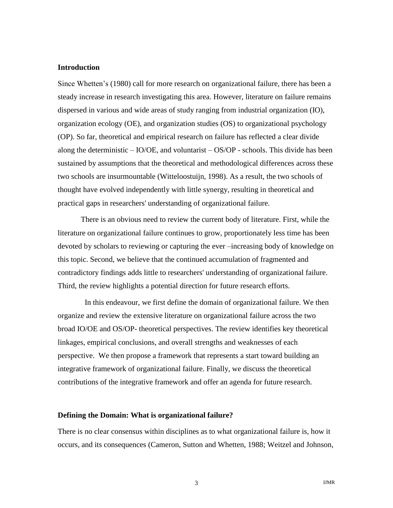#### **Introduction**

Since Whetten's (1980) call for more research on organizational failure, there has been a steady increase in research investigating this area. However, literature on failure remains dispersed in various and wide areas of study ranging from industrial organization (IO), organization ecology (OE), and organization studies (OS) to organizational psychology (OP). So far, theoretical and empirical research on failure has reflected a clear divide along the deterministic  $-IO/OE$ , and voluntarist  $- OS/OP$  - schools. This divide has been sustained by assumptions that the theoretical and methodological differences across these two schools are insurmountable (Witteloostuijn, 1998). As a result, the two schools of thought have evolved independently with little synergy, resulting in theoretical and practical gaps in researchers' understanding of organizational failure.

There is an obvious need to review the current body of literature. First, while the literature on organizational failure continues to grow, proportionately less time has been devoted by scholars to reviewing or capturing the ever –increasing body of knowledge on this topic. Second, we believe that the continued accumulation of fragmented and contradictory findings adds little to researchers' understanding of organizational failure. Third, the review highlights a potential direction for future research efforts.

In this endeavour, we first define the domain of organizational failure. We then organize and review the extensive literature on organizational failure across the two broad IO/OE and OS/OP- theoretical perspectives. The review identifies key theoretical linkages, empirical conclusions, and overall strengths and weaknesses of each perspective. We then propose a framework that represents a start toward building an integrative framework of organizational failure. Finally, we discuss the theoretical contributions of the integrative framework and offer an agenda for future research.

#### **Defining the Domain: What is organizational failure?**

There is no clear consensus within disciplines as to what organizational failure is, how it occurs, and its consequences (Cameron, Sutton and Whetten, 1988; Weitzel and Johnson,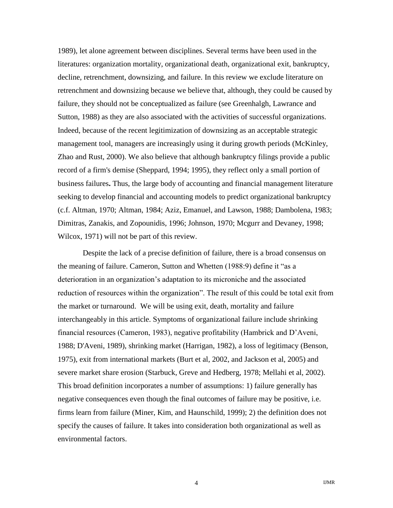1989), let alone agreement between disciplines. Several terms have been used in the literatures: organization mortality, organizational death, organizational exit, bankruptcy, decline, retrenchment, downsizing, and failure. In this review we exclude literature on retrenchment and downsizing because we believe that, although, they could be caused by failure, they should not be conceptualized as failure (see Greenhalgh, Lawrance and Sutton, 1988) as they are also associated with the activities of successful organizations. Indeed, because of the recent legitimization of downsizing as an acceptable strategic management tool, managers are increasingly using it during growth periods (McKinley, Zhao and Rust, 2000). We also believe that although bankruptcy filings provide a public record of a firm's demise (Sheppard, 1994; 1995), they reflect only a small portion of business failures**.** Thus, the large body of accounting and financial management literature seeking to develop financial and accounting models to predict organizational bankruptcy (c.f. Altman, 1970; Altman, 1984; Aziz, Emanuel, and Lawson, 1988; Dambolena, 1983; Dimitras, Zanakis, and Zopounidis, 1996; Johnson, 1970; Mcgurr and Devaney, 1998; Wilcox, 1971) will not be part of this review.

Despite the lack of a precise definition of failure, there is a broad consensus on the meaning of failure. Cameron, Sutton and Whetten (1988:9) define it "as a deterioration in an organization's adaptation to its microniche and the associated reduction of resources within the organization". The result of this could be total exit from the market or turnaround. We will be using exit, death, mortality and failure interchangeably in this article. Symptoms of organizational failure include shrinking financial resources (Cameron, 1983), negative profitability (Hambrick and D'Aveni, 1988; D'Aveni, 1989), shrinking market (Harrigan, 1982), a loss of legitimacy (Benson, 1975), exit from international markets (Burt et al, 2002, and Jackson et al, 2005) and severe market share erosion (Starbuck, Greve and Hedberg, 1978; Mellahi et al, 2002). This broad definition incorporates a number of assumptions: 1) failure generally has negative consequences even though the final outcomes of failure may be positive, i.e. firms learn from failure (Miner, Kim, and Haunschild, 1999); 2) the definition does not specify the causes of failure. It takes into consideration both organizational as well as environmental factors.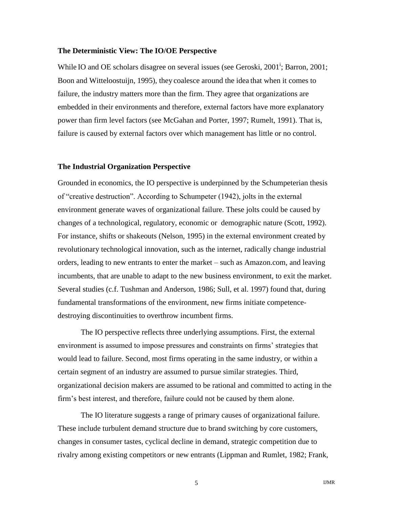### **The Deterministic View: The IO/OE Perspective**

While IO and OE scholars disagree on several issues (see Geroski,  $2001^{\frac{1}{3}}$ ; Barron,  $2001$ ; Boon and Witteloostuijn, 1995), they coalesce around the idea that when it comes to failure, the industry matters more than the firm. They agree that organizations are embedded in their environments and therefore, external factors have more explanatory power than firm level factors (see McGahan and Porter, 1997; Rumelt, 1991). That is, failure is caused by external factors over which management has little or no control.

### **The Industrial Organization Perspective**

Grounded in economics, the IO perspective is underpinned by the Schumpeterian thesis of "creative destruction". According to Schumpeter (1942), jolts in the external environment generate waves of organizational failure. These jolts could be caused by changes of a technological, regulatory, economic or demographic nature (Scott, 1992). For instance, shifts or shakeouts (Nelson, 1995) in the external environment created by revolutionary technological innovation, such as the internet, radically change industrial orders, leading to new entrants to enter the market – such as Amazon.com, and leaving incumbents, that are unable to adapt to the new business environment, to exit the market. Several studies (c.f. Tushman and Anderson, 1986; Sull, et al. 1997) found that, during fundamental transformations of the environment, new firms initiate competencedestroying discontinuities to overthrow incumbent firms.

The IO perspective reflects three underlying assumptions. First, the external environment is assumed to impose pressures and constraints on firms' strategies that would lead to failure. Second, most firms operating in the same industry, or within a certain segment of an industry are assumed to pursue similar strategies. Third, organizational decision makers are assumed to be rational and committed to acting in the firm's best interest, and therefore, failure could not be caused by them alone.

The IO literature suggests a range of primary causes of organizational failure. These include turbulent demand structure due to brand switching by core customers, changes in consumer tastes, cyclical decline in demand, strategic competition due to rivalry among existing competitors or new entrants (Lippman and Rumlet, 1982; Frank,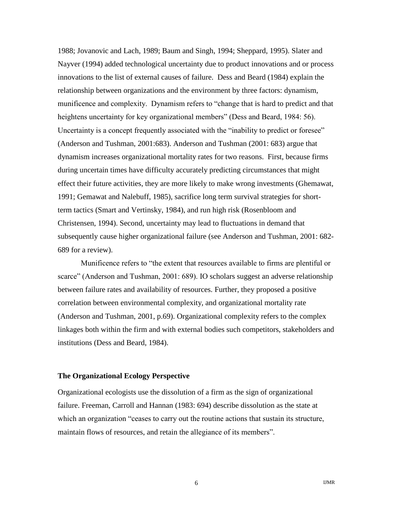1988; Jovanovic and Lach, 1989; Baum and Singh, 1994; Sheppard, 1995). Slater and Nayver (1994) added technological uncertainty due to product innovations and or process innovations to the list of external causes of failure. Dess and Beard (1984) explain the relationship between organizations and the environment by three factors: dynamism, munificence and complexity. Dynamism refers to "change that is hard to predict and that heightens uncertainty for key organizational members" (Dess and Beard, 1984: 56). Uncertainty is a concept frequently associated with the "inability to predict or foresee" (Anderson and Tushman, 2001:683). Anderson and Tushman (2001: 683) argue that dynamism increases organizational mortality rates for two reasons. First, because firms during uncertain times have difficulty accurately predicting circumstances that might effect their future activities, they are more likely to make wrong investments (Ghemawat, 1991; Gemawat and Nalebuff, 1985), sacrifice long term survival strategies for shortterm tactics (Smart and Vertinsky, 1984), and run high risk (Rosenbloom and Christensen, 1994). Second, uncertainty may lead to fluctuations in demand that subsequently cause higher organizational failure (see Anderson and Tushman, 2001: 682- 689 for a review).

Munificence refers to "the extent that resources available to firms are plentiful or scarce" (Anderson and Tushman, 2001: 689). IO scholars suggest an adverse relationship between failure rates and availability of resources. Further, they proposed a positive correlation between environmental complexity, and organizational mortality rate (Anderson and Tushman, 2001, p.69). Organizational complexity refers to the complex linkages both within the firm and with external bodies such competitors, stakeholders and institutions (Dess and Beard, 1984).

#### **The Organizational Ecology Perspective**

Organizational ecologists use the dissolution of a firm as the sign of organizational failure. Freeman, Carroll and Hannan (1983: 694) describe dissolution as the state at which an organization "ceases to carry out the routine actions that sustain its structure, maintain flows of resources, and retain the allegiance of its members".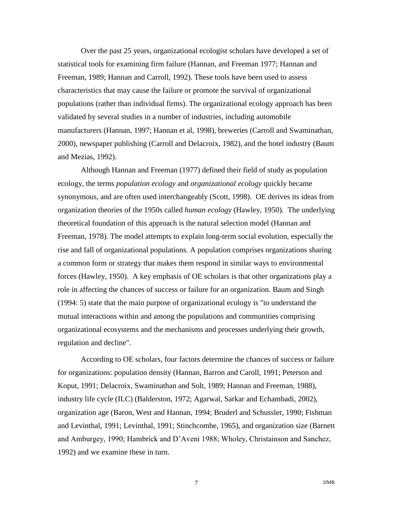Over the past 25 years, organizational ecologist scholars have developed a set of statistical tools for examining firm failure (Hannan, and Freeman 1977; Hannan and Freeman, 1989; Hannan and Carroll, 1992). These tools have been used to assess characteristics that may cause the failure or promote the survival of organizational populations (rather than individual firms). The organizational ecology approach has been validated by several studies in a number of industries, including automobile manufacturers (Hannan, 1997; Hannan et al, 1998), breweries (Carroll and Swaminathan, 2000), newspaper publishing (Carroll and Delacroix, 1982), and the hotel industry (Baum and Mezias, 1992).

Although Hannan and Freeman (1977) defined their field of study as population ecology, the terms *population ecology* and *organizational ecology* quickly became synonymous, and are often used interchangeably (Scott, 1998). OE derives its ideas from organization theories of the 1950s called *human ecology* (Hawley, 1950)*.* The underlying theoretical foundation of this approach is the natural selection model (Hannan and Freeman, 1978). The model attempts to explain long-term social evolution, especially the rise and fall of organizational populations. A population comprises organizations sharing a common form or strategy that makes them respond in similar ways to environmental forces (Hawley, 1950). A key emphasis of OE scholars is that other organizations play a role in affecting the chances of success or failure for an organization. Baum and Singh (1994: 5) state that the main purpose of organizational ecology is "to understand the mutual interactions within and among the populations and communities comprising organizational ecosystems and the mechanisms and processes underlying their growth, regulation and decline".

According to OE scholars, four factors determine the chances of success or failure for organizations: population density (Hannan, Barron and Caroll, 1991; Peterson and Koput, 1991; Delacroix, Swaminathan and Solt, 1989; Hannan and Freeman, 1988), industry life cycle (ILC) (Balderston, 1972; Agarwal, Sarkar and Echambadi, 2002), organization age (Baron, West and Hannan, 1994; Bruderl and Schussler, 1990; Fishman and Levinthal, 1991; Levinthal, 1991; Stinchcombe, 1965), and organization size (Barnett and Amburgey, 1990; Hambrick and D'Aveni 1988; Wholey, Christainson and Sanchez, 1992) and we examine these in turn.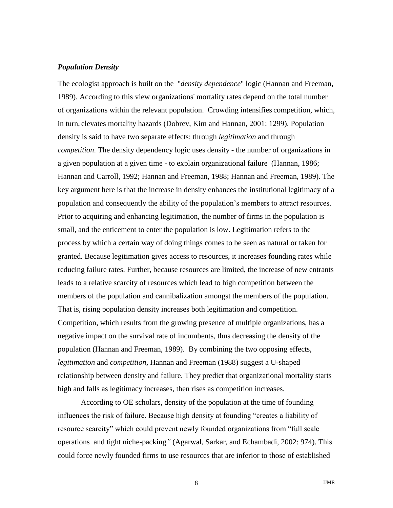#### *Population Density*

The ecologist approach is built on the "*density dependence*" logic (Hannan and Freeman, 1989). According to this view organizations' mortality rates depend on the total number of organizations within the relevant population. Crowding intensifies competition, which, in turn, elevates mortality hazards (Dobrev, Kim and Hannan, 2001: 1299). Population density is said to have two separate effects: through *legitimation* and through *competition*. The density dependency logic uses density - the number of organizations in a given population at a given time - to explain organizational failure (Hannan, 1986; Hannan and Carroll, 1992; Hannan and Freeman, 1988; Hannan and Freeman, 1989). The key argument here is that the increase in density enhances the institutional legitimacy of a population and consequently the ability of the population's members to attract resources. Prior to acquiring and enhancing legitimation, the number of firms in the population is small, and the enticement to enter the population is low. Legitimation refers to the process by which a certain way of doing things comes to be seen as natural or taken for granted. Because legitimation gives access to resources, it increases founding rates while reducing failure rates. Further, because resources are limited, the increase of new entrants leads to a relative scarcity of resources which lead to high competition between the members of the population and cannibalization amongst the members of the population. That is, rising population density increases both legitimation and competition. Competition, which results from the growing presence of multiple organizations, has a negative impact on the survival rate of incumbents, thus decreasing the density of the population (Hannan and Freeman, 1989). By combining the two opposing effects, *legitimation* and *competition,* Hannan and Freeman (1988) suggest a U-shaped relationship between density and failure. They predict that organizational mortality starts high and falls as legitimacy increases, then rises as competition increases.

According to OE scholars, density of the population at the time of founding influences the risk of failure. Because high density at founding "creates a liability of resource scarcity" which could prevent newly founded organizations from "full scale operations and tight niche-packing*"*(Agarwal, Sarkar, and Echambadi, 2002: 974). This could force newly founded firms to use resources that are inferior to those of established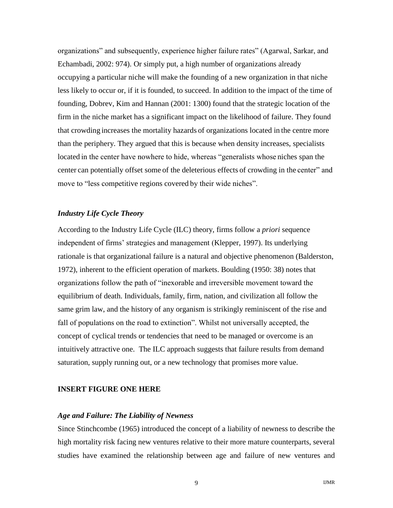organizations" and subsequently, experience higher failure rates" (Agarwal, Sarkar, and Echambadi, 2002: 974). Or simply put, a high number of organizations already occupying a particular niche will make the founding of a new organization in that niche less likely to occur or, if it is founded, to succeed. In addition to the impact of the time of founding, Dobrev, Kim and Hannan (2001: 1300) found that the strategic location of the firm in the niche market has a significant impact on the likelihood of failure. They found that crowding increases the mortality hazards of organizations located in the centre more than the periphery. They argued that this is because when density increases, specialists located in the center have nowhere to hide, whereas "generalists whose niches span the center can potentially offset some of the deleterious effects of crowding in thecenter"and move to "less competitive regions covered by their wide niches".

## *Industry Life Cycle Theory*

According to the Industry Life Cycle (ILC) theory, firms follow a *priori* sequence independent of firms' strategies and management (Klepper, 1997). Its underlying rationale is that organizational failure is a natural and objective phenomenon (Balderston, 1972), inherent to the efficient operation of markets. Boulding (1950: 38) notes that organizations follow the path of "inexorable and irreversible movement toward the equilibrium of death. Individuals, family, firm, nation, and civilization all follow the same grim law, and the history of any organism is strikingly reminiscent of the rise and fall of populations on the road to extinction". Whilst not universally accepted, the concept of cyclical trends or tendencies that need to be managed or overcome is an intuitively attractive one. The ILC approach suggests that failure results from demand saturation, supply running out, or a new technology that promises more value.

# **INSERT FIGURE ONE HERE**

#### *Age and Failure: The Liability of Newness*

Since Stinchcombe (1965) introduced the concept of a liability of newness to describe the high mortality risk facing new ventures relative to their more mature counterparts, several studies have examined the relationship between age and failure of new ventures and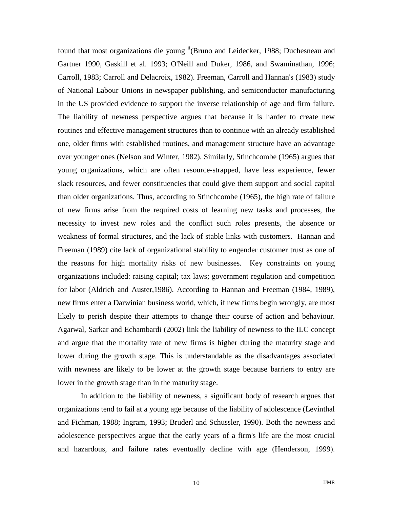found that most organizations die young <sup>ii</sup>(Bruno and Leidecker, 1988; Duchesneau and Gartner 1990, Gaskill et al. 1993; O'Neill and Duker, 1986, and Swaminathan, 1996; Carroll, 1983; Carroll and Delacroix, 1982). Freeman, Carroll and Hannan's (1983) study of National Labour Unions in newspaper publishing, and semiconductor manufacturing in the US provided evidence to support the inverse relationship of age and firm failure. The liability of newness perspective argues that because it is harder to create new routines and effective management structures than to continue with an already established one, older firms with established routines, and management structure have an advantage over younger ones (Nelson and Winter, 1982). Similarly, Stinchcombe (1965) argues that young organizations, which are often resource-strapped, have less experience, fewer slack resources, and fewer constituencies that could give them support and social capital than older organizations. Thus, according to Stinchcombe (1965), the high rate of failure of new firms arise from the required costs of learning new tasks and processes, the necessity to invest new roles and the conflict such roles presents, the absence or weakness of formal structures, and the lack of stable links with customers. Hannan and Freeman (1989) cite lack of organizational stability to engender customer trust as one of the reasons for high mortality risks of new businesses. Key constraints on young organizations included: raising capital; tax laws; government regulation and competition for labor (Aldrich and Auster,1986). According to Hannan and Freeman (1984, 1989), new firms enter a Darwinian business world, which, if new firms begin wrongly, are most likely to perish despite their attempts to change their course of action and behaviour. Agarwal, Sarkar and Echambardi (2002) link the liability of newness to the ILC concept and argue that the mortality rate of new firms is higher during the maturity stage and lower during the growth stage. This is understandable as the disadvantages associated with newness are likely to be lower at the growth stage because barriers to entry are lower in the growth stage than in the maturity stage.

In addition to the liability of newness, a significant body of research argues that organizations tend to fail at a young age because of the liability of adolescence (Levinthal and Fichman, 1988; Ingram, 1993; Bruderl and Schussler, 1990). Both the newness and adolescence perspectives argue that the early years of a firm's life are the most crucial and hazardous, and failure rates eventually decline with age (Henderson, 1999).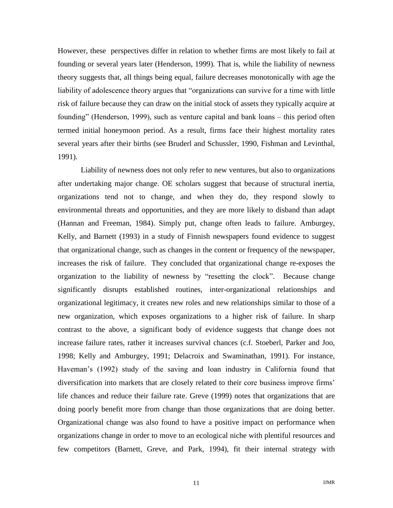However, these perspectives differ in relation to whether firms are most likely to fail at founding or several years later (Henderson, 1999). That is, while the liability of newness theory suggests that, all things being equal, failure decreases monotonically with age the liability of adolescence theory argues that "organizations can survive for a time with little risk of failure because they can draw on the initial stock of assets they typically acquire at founding" (Henderson, 1999), such as venture capital and bank loans – this period often termed initial honeymoon period. As a result, firms face their highest mortality rates several years after their births (see Bruderl and Schussler, 1990, Fishman and Levinthal, 1991).

Liability of newness does not only refer to new ventures, but also to organizations after undertaking major change. OE scholars suggest that because of structural inertia, organizations tend not to change, and when they do, they respond slowly to environmental threats and opportunities, and they are more likely to disband than adapt (Hannan and Freeman, 1984). Simply put, change often leads to failure. Amburgey, Kelly, and Barnett (1993) in a study of Finnish newspapers found evidence to suggest that organizational change, such as changes in the content or frequency of the newspaper, increases the risk of failure. They concluded that organizational change re-exposes the organization to the liability of newness by "resetting the clock". Because change significantly disrupts established routines, inter-organizational relationships and organizational legitimacy, it creates new roles and new relationships similar to those of a new organization, which exposes organizations to a higher risk of failure. In sharp contrast to the above, a significant body of evidence suggests that change does not increase failure rates, rather it increases survival chances (c.f. Stoeberl, Parker and Joo, 1998; Kelly and Amburgey, 1991; Delacroix and Swaminathan, 1991). For instance, Haveman's (1992) study of the saving and loan industry in California found that diversification into markets that are closely related to their core business improve firms' life chances and reduce their failure rate. Greve (1999) notes that organizations that are doing poorly benefit more from change than those organizations that are doing better. Organizational change was also found to have a positive impact on performance when organizations change in order to move to an ecological niche with plentiful resources and few competitors (Barnett, Greve, and Park, 1994), fit their internal strategy with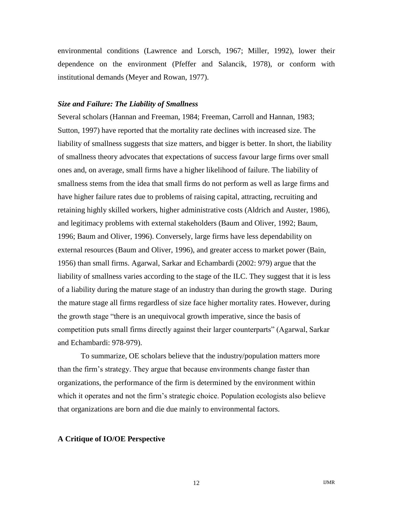environmental conditions (Lawrence and Lorsch, 1967; Miller, 1992), lower their dependence on the environment (Pfeffer and Salancik, 1978), or conform with institutional demands (Meyer and Rowan, 1977).

#### *Size and Failure: The Liability of Smallness*

Several scholars (Hannan and Freeman, 1984; Freeman, Carroll and Hannan, 1983; Sutton, 1997) have reported that the mortality rate declines with increased size. The liability of smallness suggests that size matters, and bigger is better. In short, the liability of smallness theory advocates that expectations of success favour large firms over small ones and, on average, small firms have a higher likelihood of failure. The liability of smallness stems from the idea that small firms do not perform as well as large firms and have higher failure rates due to problems of raising capital, attracting, recruiting and retaining highly skilled workers, higher administrative costs (Aldrich and Auster, 1986), and legitimacy problems with external stakeholders (Baum and Oliver, 1992; Baum, 1996; Baum and Oliver, 1996). Conversely, large firms have less dependability on external resources (Baum and Oliver, 1996), and greater access to market power (Bain, 1956) than small firms. Agarwal, Sarkar and Echambardi (2002: 979) argue that the liability of smallness varies according to the stage of the ILC. They suggest that it is less of a liability during the mature stage of an industry than during the growth stage. During the mature stage all firms regardless of size face higher mortality rates. However, during the growth stage "there is an unequivocal growth imperative, since the basis of competition puts small firms directly against their larger counterparts" (Agarwal, Sarkar and Echambardi: 978-979).

To summarize, OE scholars believe that the industry/population matters more than the firm's strategy. They argue that because environments change faster than organizations, the performance of the firm is determined by the environment within which it operates and not the firm's strategic choice. Population ecologists also believe that organizations are born and die due mainly to environmental factors.

## **A Critique of IO/OE Perspective**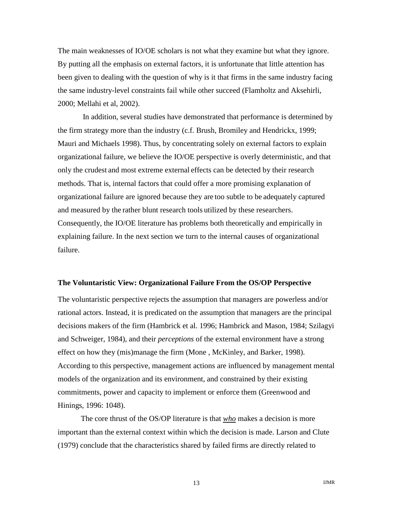The main weaknesses of IO/OE scholars is not what they examine but what they ignore. By putting all the emphasis on external factors, it is unfortunate that little attention has been given to dealing with the question of why is it that firms in the same industry facing the same industry-level constraints fail while other succeed (Flamholtz and Aksehirli, 2000; Mellahi et al, 2002).

In addition, several studies have demonstrated that performance is determined by the firm strategy more than the industry (c.f. Brush, Bromiley and Hendrickx, 1999; Mauri and Michaels 1998). Thus, by concentrating solely on external factors to explain organizational failure, we believe the IO/OE perspective is overly deterministic, and that only the crudest and most extreme external effects can be detected by their research methods. That is, internal factors that could offer a more promising explanation of organizational failure are ignored because they are too subtle to be adequately captured and measured by the rather blunt research tools utilized by these researchers. Consequently, the IO/OE literature has problems both theoretically and empirically in explaining failure. In the next section we turn to the internal causes of organizational failure.

#### **The Voluntaristic View: Organizational Failure From the OS/OP Perspective**

The voluntaristic perspective rejects the assumption that managers are powerless and/or rational actors. Instead, it is predicated on the assumption that managers are the principal decisions makers of the firm (Hambrick et al. 1996; Hambrick and Mason, 1984; Szilagyi and Schweiger, 1984), and their *perceptions* of the external environment have a strong effect on how they (mis)manage the firm (Mone , McKinley, and Barker, 1998). According to this perspective, management actions are influenced by management mental models of the organization and its environment, and constrained by their existing commitments, power and capacity to implement or enforce them (Greenwood and Hinings, 1996: 1048).

The core thrust of the OS/OP literature is that *who* makes a decision is more important than the external context within which the decision is made. Larson and Clute (1979) conclude that the characteristics shared by failed firms are directly related to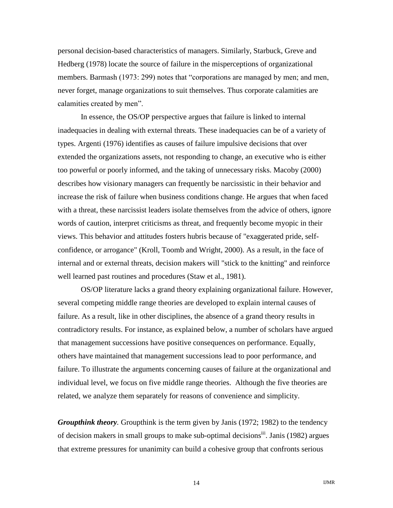personal decision-based characteristics of managers. Similarly, Starbuck, Greve and Hedberg (1978) locate the source of failure in the misperceptions of organizational members. Barmash (1973: 299) notes that "corporations are managed by men; and men, never forget, manage organizations to suit themselves. Thus corporate calamities are calamities created by men".

In essence, the OS/OP perspective argues that failure is linked to internal inadequacies in dealing with external threats. These inadequacies can be of a variety of types. Argenti (1976) identifies as causes of failure impulsive decisions that over extended the organizations assets, not responding to change, an executive who is either too powerful or poorly informed, and the taking of unnecessary risks. Macoby (2000) describes how visionary managers can frequently be narcissistic in their behavior and increase the risk of failure when business conditions change. He argues that when faced with a threat, these narcissist leaders isolate themselves from the advice of others, ignore words of caution, interpret criticisms as threat, and frequently become myopic in their views. This behavior and attitudes fosters hubris because of "exaggerated pride, selfconfidence, or arrogance" (Kroll, Toomb and Wright, 2000). As a result, in the face of internal and or external threats, decision makers will "stick to the knitting" and reinforce well learned past routines and procedures (Staw et al., 1981).

OS/OP literature lacks a grand theory explaining organizational failure. However, several competing middle range theories are developed to explain internal causes of failure. As a result, like in other disciplines, the absence of a grand theory results in contradictory results. For instance, as explained below, a number of scholars have argued that management successions have positive consequences on performance. Equally, others have maintained that management successions lead to poor performance, and failure. To illustrate the arguments concerning causes of failure at the organizational and individual level, we focus on five middle range theories. Although the five theories are related, we analyze them separately for reasons of convenience and simplicity.

*Groupthink theory.* Groupthink is the term given by Janis (1972; 1982) to the tendency of decision makers in small groups to make sub-optimal decisions<sup>iii</sup>. Janis (1982) argues that extreme pressures for unanimity can build a cohesive group that confronts serious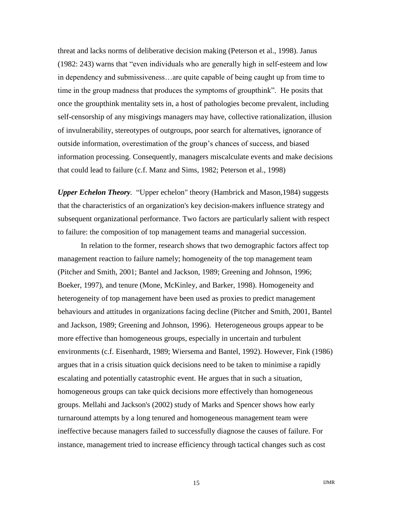threat and lacks norms of deliberative decision making (Peterson et al., 1998). Janus  $(1982: 243)$  warns that "even individuals who are generally high in self-esteem and low in dependency and submissiveness...are quite capable of being caught up from time to time in the group madness that produces the symptoms of groupthink". He posits that once the groupthink mentality sets in, a host of pathologies become prevalent, including self-censorship of any misgivings managers may have, collective rationalization, illusion of invulnerability, stereotypes of outgroups, poor search for alternatives, ignorance of outside information, overestimation of the group's chances of success, and biased information processing. Consequently, managers miscalculate events and make decisions that could lead to failure (c.f. Manz and Sims, 1982; Peterson et al., 1998)

*Upper Echelon Theory.* "Upper echelon" theory (Hambrick and Mason,1984) suggests that the characteristics of an organization's key decision-makers influence strategy and subsequent organizational performance. Two factors are particularly salient with respect to failure: the composition of top management teams and managerial succession.

In relation to the former, research shows that two demographic factors affect top management reaction to failure namely; homogeneity of the top management team (Pitcher and Smith, 2001; Bantel and Jackson, 1989; Greening and Johnson, 1996; Boeker, 1997), and tenure (Mone, McKinley, and Barker, 1998). Homogeneity and heterogeneity of top management have been used as proxies to predict management behaviours and attitudes in organizations facing decline (Pitcher and Smith, 2001, Bantel and Jackson, 1989; Greening and Johnson, 1996). Heterogeneous groups appear to be more effective than homogeneous groups, especially in uncertain and turbulent environments (c.f. Eisenhardt, 1989; Wiersema and Bantel, 1992). However, Fink (1986) argues that in a crisis situation quick decisions need to be taken to minimise a rapidly escalating and potentially catastrophic event. He argues that in such a situation, homogeneous groups can take quick decisions more effectively than homogeneous groups. Mellahi and Jackson's (2002) study of Marks and Spencer shows how early turnaround attempts by a long tenured and homogeneous management team were ineffective because managers failed to successfully diagnose the causes of failure. For instance, management tried to increase efficiency through tactical changes such as cost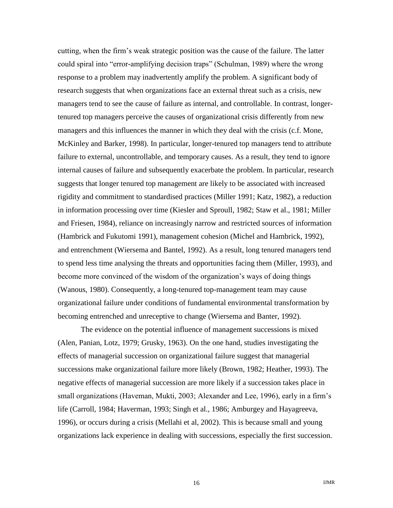cutting, when the firm's weak strategic position was the cause of the failure. The latter could spiral into "error-amplifying decision traps" (Schulman, 1989) where the wrong response to a problem may inadvertently amplify the problem. A significant body of research suggests that when organizations face an external threat such as a crisis, new managers tend to see the cause of failure as internal, and controllable. In contrast, longertenured top managers perceive the causes of organizational crisis differently from new managers and this influences the manner in which they deal with the crisis (c.f. Mone, McKinley and Barker, 1998). In particular, longer-tenured top managers tend to attribute failure to external, uncontrollable, and temporary causes. As a result, they tend to ignore internal causes of failure and subsequently exacerbate the problem. In particular, research suggests that longer tenured top management are likely to be associated with increased rigidity and commitment to standardised practices (Miller 1991; Katz, 1982), a reduction in information processing over time (Kiesler and Sproull, 1982; Staw et al., 1981; Miller and Friesen, 1984), reliance on increasingly narrow and restricted sources of information (Hambrick and Fukutomi 1991), management cohesion (Michel and Hambrick, 1992), and entrenchment (Wiersema and Bantel, 1992). As a result, long tenured managers tend to spend less time analysing the threats and opportunities facing them (Miller, 1993), and become more convinced of the wisdom of the organization's ways of doing things (Wanous, 1980). Consequently, a long-tenured top-management team may cause organizational failure under conditions of fundamental environmental transformation by becoming entrenched and unreceptive to change (Wiersema and Banter, 1992).

The evidence on the potential influence of management successions is mixed (Alen, Panian, Lotz, 1979; Grusky, 1963). On the one hand, studies investigating the effects of managerial succession on organizational failure suggest that managerial successions make organizational failure more likely (Brown, 1982; Heather, 1993). The negative effects of managerial succession are more likely if a succession takes place in small organizations (Haveman, Mukti, 2003; Alexander and Lee, 1996), early in a firm's life (Carroll, 1984; Haverman, 1993; Singh et al., 1986; Amburgey and Hayagreeva, 1996), or occurs during a crisis (Mellahi et al, 2002). This is because small and young organizations lack experience in dealing with successions, especially the first succession.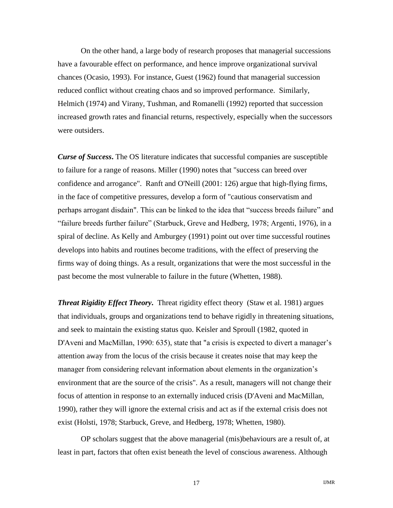On the other hand, a large body of research proposes that managerial successions have a favourable effect on performance, and hence improve organizational survival chances (Ocasio, 1993). For instance, Guest (1962) found that managerial succession reduced conflict without creating chaos and so improved performance. Similarly, Helmich (1974) and Virany, Tushman, and Romanelli (1992) reported that succession increased growth rates and financial returns, respectively, especially when the successors were outsiders.

*Curse of Success***.** The OS literature indicates that successful companies are susceptible to failure for a range of reasons. Miller (1990) notes that "success can breed over confidence and arrogance". Ranft and O'Neill (2001: 126) argue that high-flying firms, in the face of competitive pressures, develop a form of "cautious conservatism and perhaps arrogant disdain". This can be linked to the idea that "success breeds failure" and "failure breeds further failure" (Starbuck, Greve and Hedberg, 1978; Argenti, 1976), in a spiral of decline. As Kelly and Amburgey (1991) point out over time successful routines develops into habits and routines become traditions, with the effect of preserving the firms way of doing things. As a result, organizations that were the most successful in the past become the most vulnerable to failure in the future (Whetten, 1988).

*Threat Rigidity Effect Theory***.** Threat rigidity effect theory (Staw et al. 1981) argues that individuals, groups and organizations tend to behave rigidly in threatening situations, and seek to maintain the existing status quo. Keisler and Sproull (1982, quoted in D'Aveni and MacMillan, 1990: 635), state that "a crisis is expected to divert a manager's attention away from the locus of the crisis because it creates noise that may keep the manager from considering relevant information about elements in the organization's environment that are the source of the crisis". As a result, managers will not change their focus of attention in response to an externally induced crisis (D'Aveni and MacMillan, 1990), rather they will ignore the external crisis and act as if the external crisis does not exist (Holsti, 1978; Starbuck, Greve, and Hedberg, 1978; Whetten, 1980).

OP scholars suggest that the above managerial (mis)behaviours are a result of, at least in part, factors that often exist beneath the level of conscious awareness. Although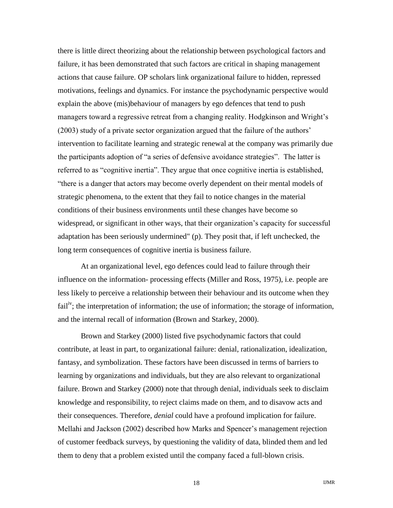there is little direct theorizing about the relationship between psychological factors and failure, it has been demonstrated that such factors are critical in shaping management actions that cause failure. OP scholars link organizational failure to hidden, repressed motivations, feelings and dynamics. For instance the psychodynamic perspective would explain the above (mis)behaviour of managers by ego defences that tend to push managers toward a regressive retreat from a changing reality. Hodgkinson and Wright's (2003) study of a private sector organization argued that the failure of the authors' intervention to facilitate learning and strategic renewal at the company was primarily due the participants adoption of "a series of defensive avoidance strategies". The latter is referred to as "cognitive inertia". They argue that once cognitive inertia is established, "there is a danger that actors may become overly dependent on their mental models of strategic phenomena, to the extent that they fail to notice changes in the material conditions of their business environments until these changes have become so widespread, or significant in other ways, that their organization's capacity for successful adaptation has been seriously undermined" (p). They posit that, if left unchecked, the long term consequences of cognitive inertia is business failure.

At an organizational level, ego defences could lead to failure through their influence on the information- processing effects (Miller and Ross, 1975), i.e. people are less likely to perceive a relationship between their behaviour and its outcome when they fail<sup>iv</sup>; the interpretation of information; the use of information; the storage of information, and the internal recall of information (Brown and Starkey, 2000).

Brown and Starkey (2000) listed five psychodynamic factors that could contribute, at least in part, to organizational failure: denial, rationalization, idealization, fantasy, and symbolization. These factors have been discussed in terms of barriers to learning by organizations and individuals, but they are also relevant to organizational failure. Brown and Starkey (2000) note that through denial, individuals seek to disclaim knowledge and responsibility, to reject claims made on them, and to disavow acts and their consequences. Therefore, *denial* could have a profound implication for failure. Mellahi and Jackson (2002) described how Marks and Spencer's management rejection of customer feedback surveys, by questioning the validity of data, blinded them and led them to deny that a problem existed until the company faced a full-blown crisis.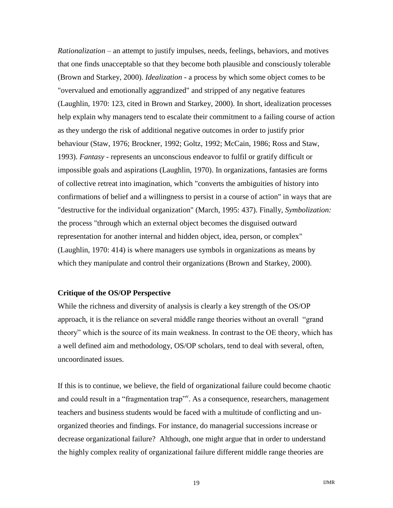*Rationalization* – an attempt to justify impulses, needs, feelings, behaviors, and motives that one finds unacceptable so that they become both plausible and consciously tolerable (Brown and Starkey, 2000). *Idealization -* a process by which some object comes to be "overvalued and emotionally aggrandized" and stripped of any negative features (Laughlin, 1970: 123, cited in Brown and Starkey, 2000). In short, idealization processes help explain why managers tend to escalate their commitment to a failing course of action as they undergo the risk of additional negative outcomes in order to justify prior behaviour (Staw, 1976; Brockner, 1992; Goltz, 1992; McCain, 1986; Ross and Staw, 1993). *Fantasy -* represents an unconscious endeavor to fulfil or gratify difficult or impossible goals and aspirations (Laughlin, 1970). In organizations, fantasies are forms of collective retreat into imagination, which "converts the ambiguities of history into confirmations of belief and a willingness to persist in a course of action" in ways that are "destructive for the individual organization" (March, 1995: 437). Finally, *Symbolization:* the process "through which an external object becomes the disguised outward representation for another internal and hidden object, idea, person, or complex" (Laughlin, 1970: 414) is where managers use symbols in organizations as means by which they manipulate and control their organizations (Brown and Starkey, 2000).

#### **Critique of the OS/OP Perspective**

While the richness and diversity of analysis is clearly a key strength of the OS/OP approach, it is the reliance on several middle range theories without an overall "grand theory" which is the source of its main weakness. In contrast to the OE theory, which has a well defined aim and methodology, OS/OP scholars, tend to deal with several, often, uncoordinated issues.

If this is to continue, we believe, the field of organizational failure could become chaotic and could result in a "fragmentation trap"<sup>v</sup>. As a consequence, researchers, management teachers and business students would be faced with a multitude of conflicting and unorganized theories and findings. For instance, do managerial successions increase or decrease organizational failure? Although, one might argue that in order to understand the highly complex reality of organizational failure different middle range theories are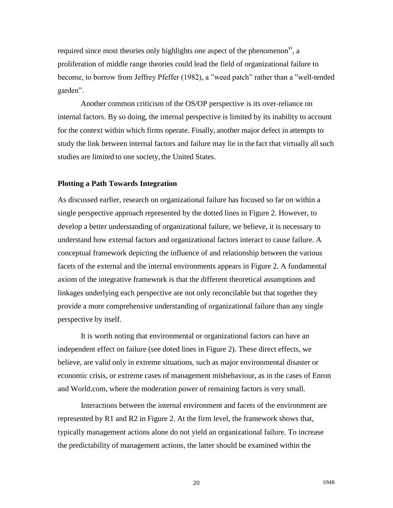required since most theories only highlights one aspect of the phenomenon<sup> $v<sub>1</sub>$ </sup>, a proliferation of middle range theories could lead the field of organizational failure to become, to borrow from Jeffrey Pfeffer (1982), a "weed patch" rather than a "well-tended garden".

Another common criticism of the OS/OP perspective is its over-reliance on internal factors. By so doing, the internal perspective is limited by its inability to account for the context within which firms operate. Finally, another major defect in attempts to study the link between internal factors and failure may lie in the fact that virtually allsuch studies are limited to one society, the United States.

## **Plotting a Path Towards Integration**

As discussed earlier, research on organizational failure has focused so far on within a single perspective approach represented by the dotted lines in Figure 2. However, to develop a better understanding of organizational failure, we believe, it is necessary to understand how external factors and organizational factors interact to cause failure. A conceptual framework depicting the influence of and relationship between the various facets of the external and the internal environments appears in Figure 2. A fundamental axiom of the integrative framework is that the different theoretical assumptions and linkages underlying each perspective are not only reconcilable but that together they provide a more comprehensive understanding of organizational failure than any single perspective by itself.

It is worth noting that environmental or organizational factors can have an independent effect on failure (see doted lines in Figure 2). These direct effects, we believe, are valid only in extreme situations, such as major environmental disaster or economic crisis, or extreme cases of management misbehaviour, as in the cases of Enron and World.com, where the moderation power of remaining factors is very small.

Interactions between the internal environment and facets of the environment are represented by R1 and R2 in Figure 2. At the firm level, the framework shows that, typically management actions alone do not yield an organizational failure. To increase the predictability of management actions, the latter should be examined within the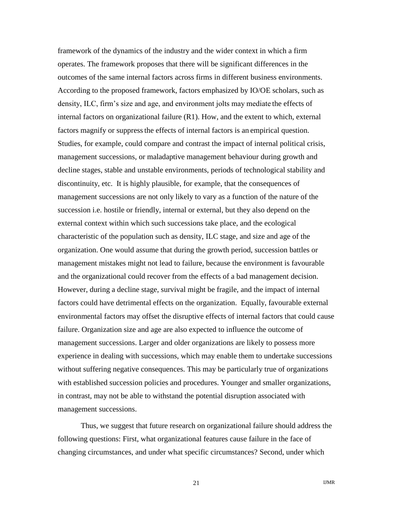framework of the dynamics of the industry and the wider context in which a firm operates. The framework proposes that there will be significant differences in the outcomes of the same internal factors across firms in different business environments. According to the proposed framework, factors emphasized by IO/OE scholars, such as density, ILC, firm's size and age, and environment jolts may mediate the effects of internal factors on organizational failure (R1). How, and the extent to which, external factors magnify or suppress the effects of internal factors is an empirical question. Studies, for example, could compare and contrast the impact of internal political crisis, management successions, or maladaptive management behaviour during growth and decline stages, stable and unstable environments, periods of technological stability and discontinuity, etc. It is highly plausible, for example, that the consequences of management successions are not only likely to vary as a function of the nature of the succession i.e. hostile or friendly, internal or external, but they also depend on the external context within which such successions take place, and the ecological characteristic of the population such as density, ILC stage, and size and age of the organization. One would assume that during the growth period, succession battles or management mistakes might not lead to failure, because the environment is favourable and the organizational could recover from the effects of a bad management decision. However, during a decline stage, survival might be fragile, and the impact of internal factors could have detrimental effects on the organization. Equally, favourable external environmental factors may offset the disruptive effects of internal factors that could cause failure. Organization size and age are also expected to influence the outcome of management successions. Larger and older organizations are likely to possess more experience in dealing with successions, which may enable them to undertake successions without suffering negative consequences. This may be particularly true of organizations with established succession policies and procedures. Younger and smaller organizations, in contrast, may not be able to withstand the potential disruption associated with management successions.

Thus, we suggest that future research on organizational failure should address the following questions: First, what organizational features cause failure in the face of changing circumstances, and under what specific circumstances? Second, under which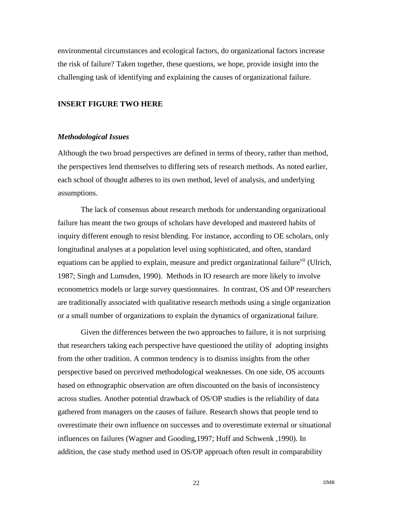environmental circumstances and ecological factors, do organizational factors increase the risk of failure? Taken together, these questions, we hope, provide insight into the challenging task of identifying and explaining the causes of organizational failure.

#### **INSERT FIGURE TWO HERE**

#### *Methodological Issues*

Although the two broad perspectives are defined in terms of theory, rather than method, the perspectives lend themselves to differing sets of research methods. As noted earlier, each school of thought adheres to its own method, level of analysis, and underlying assumptions.

The lack of consensus about research methods for understanding organizational failure has meant the two groups of scholars have developed and mastered habits of inquiry different enough to resist blending. For instance, according to OE scholars, only longitudinal analyses at a population level using sophisticated, and often, standard equations can be applied to explain, measure and predict organizational failure<sup>vii</sup> (Ulrich, 1987; Singh and Lumsden, 1990). Methods in IO research are more likely to involve econometrics models or large survey questionnaires. In contrast, OS and OP researchers are traditionally associated with qualitative research methods using a single organization or a small number of organizations to explain the dynamics of organizational failure.

Given the differences between the two approaches to failure, it is not surprising that researchers taking each perspective have questioned the utility of adopting insights from the other tradition. A common tendency is to dismiss insights from the other perspective based on perceived methodological weaknesses. On one side, OS accounts based on ethnographic observation are often discounted on the basis of inconsistency across studies. Another potential drawback of OS/OP studies is the reliability of data gathered from managers on the causes of failure. Research shows that people tend to overestimate their own influence on successes and to overestimate external or situational influences on failures (Wagner and Gooding,1997; Huff and Schwenk ,1990). In addition, the case study method used in OS/OP approach often result in comparability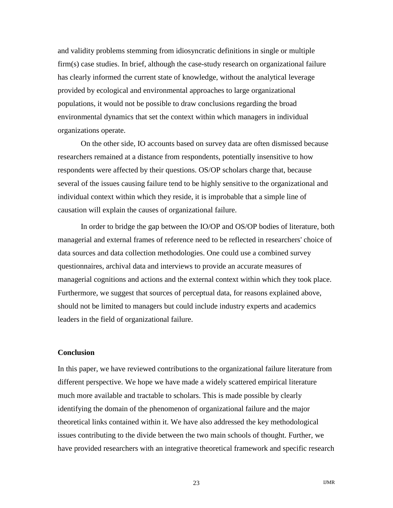and validity problems stemming from idiosyncratic definitions in single or multiple firm(s) case studies. In brief, although the case-study research on organizational failure has clearly informed the current state of knowledge, without the analytical leverage provided by ecological and environmental approaches to large organizational populations, it would not be possible to draw conclusions regarding the broad environmental dynamics that set the context within which managers in individual organizations operate.

On the other side, IO accounts based on survey data are often dismissed because researchers remained at a distance from respondents, potentially insensitive to how respondents were affected by their questions. OS/OP scholars charge that, because several of the issues causing failure tend to be highly sensitive to the organizational and individual context within which they reside, it is improbable that a simple line of causation will explain the causes of organizational failure.

In order to bridge the gap between the IO/OP and OS/OP bodies of literature, both managerial and external frames of reference need to be reflected in researchers' choice of data sources and data collection methodologies. One could use a combined survey questionnaires, archival data and interviews to provide an accurate measures of managerial cognitions and actions and the external context within which they took place. Furthermore, we suggest that sources of perceptual data, for reasons explained above, should not be limited to managers but could include industry experts and academics leaders in the field of organizational failure.

## **Conclusion**

In this paper, we have reviewed contributions to the organizational failure literature from different perspective. We hope we have made a widely scattered empirical literature much more available and tractable to scholars. This is made possible by clearly identifying the domain of the phenomenon of organizational failure and the major theoretical links contained within it. We have also addressed the key methodological issues contributing to the divide between the two main schools of thought. Further, we have provided researchers with an integrative theoretical framework and specific research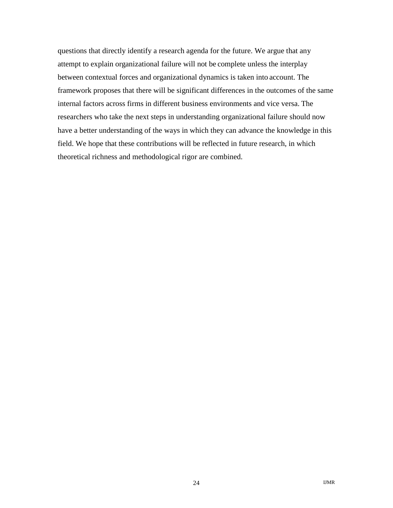questions that directly identify a research agenda for the future. We argue that any attempt to explain organizational failure will not be complete unless the interplay between contextual forces and organizational dynamics is taken into account. The framework proposes that there will be significant differences in the outcomes of the same internal factors across firms in different business environments and vice versa. The researchers who take the next steps in understanding organizational failure should now have a better understanding of the ways in which they can advance the knowledge in this field. We hope that these contributions will be reflected in future research, in which theoretical richness and methodological rigor are combined.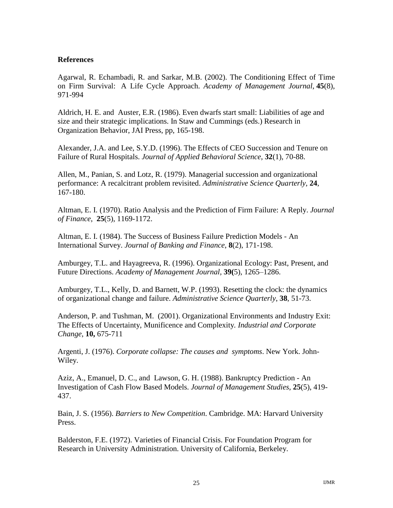# **References**

Agarwal, R. Echambadi, R. and Sarkar, M.B. (2002). The Conditioning Effect of Time on Firm Survival: A Life Cycle Approach. *Academy of Management Journal*, **45**(8), 971-994

Aldrich, H. E. and Auster, E.R. (1986). Even dwarfs start small: Liabilities of age and size and their strategic implications. In Staw and Cummings (eds.) Research in Organization Behavior, JAI Press, pp, 165-198.

Alexander, J.A. and Lee, S.Y.D. (1996). The Effects of CEO Succession and Tenure on Failure of Rural Hospitals. *Journal of Applied Behavioral Science*, **32**(1), 70-88.

Allen, M., Panian, S. and Lotz, R. (1979). Managerial succession and organizational performance: A recalcitrant problem revisited. *Administrative Science Quarterly*, **24**, 167-180.

Altman, E. I. (1970). Ratio Analysis and the Prediction of Firm Failure: A Reply. *Journal of Finance*, **25**(5), 1169-1172.

Altman, E. I. (1984). The Success of Business Failure Prediction Models - An International Survey. *Journal of Banking and Finance*, **8**(2), 171-198.

Amburgey, T.L. and Hayagreeva, R. (1996). Organizational Ecology: Past, Present, and Future Directions. *Academy of Management Journal,* **39(**5), 1265–1286.

Amburgey, T.L., Kelly, D. and Barnett, W.P. (1993). Resetting the clock: the dynamics of organizational change and failure. *Administrative Science Quarterly*, **38**, 51-73.

Anderson, P. and Tushman, M. (2001). Organizational Environments and Industry Exit: The Effects of Uncertainty, Munificence and Complexity*. Industrial and Corporate Change*, **10,** 675-711

Argenti, J. (1976). *Corporate collapse: The causes and symptoms*. New York. John-Wiley.

Aziz, A., Emanuel, D. C., and Lawson, G. H. (1988). Bankruptcy Prediction - An Investigation of Cash Flow Based Models. *Journal of Management Studies*, **25**(5), 419- 437.

Bain, J. S. (1956). *Barriers to New Competition*. Cambridge. MA: Harvard University Press.

Balderston, F.E. (1972). Varieties of Financial Crisis. For Foundation Program for Research in University Administration. University of California, Berkeley.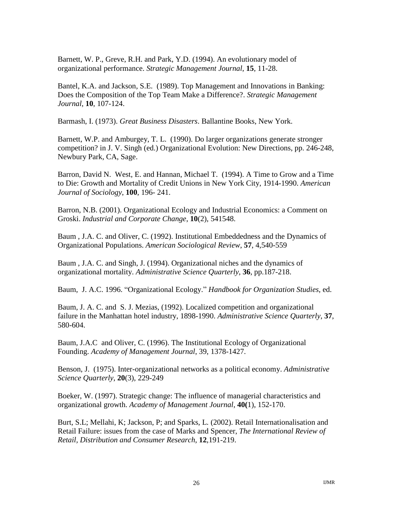Barnett, W. P., Greve, R.H. and Park, Y.D. (1994). An evolutionary model of organizational performance. *Strategic Management Journal*, **15**, 11-28.

Bantel, K.A. and Jackson, S.E. (1989). Top Management and Innovations in Banking: Does the Composition of the Top Team Make a Difference?. *Strategic Management Journal*, **10**, 107-124.

Barmash, I. (1973). *Great Business Disasters*. Ballantine Books, New York.

Barnett, W.P. and Amburgey, T. L. (1990). Do larger organizations generate stronger competition? in J. V. Singh (ed.) Organizational Evolution: New Directions, pp. 246-248, Newbury Park, CA, Sage.

Barron, David N. West, E. and Hannan, Michael T. (1994). A Time to Grow and a Time to Die: Growth and Mortality of Credit Unions in New York City, 1914-1990. *American Journal of Sociology*, **100**, 196- 241.

Barron, N.B. (2001). Organizational Ecology and Industrial Economics: a Comment on Groski. *Industrial and Corporate Change*, **10**(2), 541548.

Baum , J.A. C. and Oliver, C. (1992). Institutional Embeddedness and the Dynamics of Organizational Populations. *American Sociological Review*, **57**, 4,540-559

Baum , J.A. C. and Singh, J. (1994). Organizational niches and the dynamics of organizational mortality. *Administrative Science Quarterly*, **36**, pp.187-218.

Baum, J. A.C. 1996. "Organizational Ecology."*Handbook for Organization Studies*, ed.

Baum, J. A. C. and S. J. Mezias, (1992). Localized competition and organizational failure in the Manhattan hotel industry, 1898-1990. *Administrative Science Quarterly*, **37**, 580-604.

Baum, J.A.C and Oliver, C. (1996). The Institutional Ecology of Organizational Founding. *Academy of Management Journal*, 39, 1378-1427.

Benson, J. (1975). Inter-organizational networks as a political economy. *Administrative Science Quarterly*, **20**(3), 229-249

Boeker, W. (1997). Strategic change: The influence of managerial characteristics and organizational growth. *Academy of Management Journal*, **40(**1), 152-170.

Burt, S.L; Mellahi, K; Jackson, P; and Sparks, L. (2002). Retail Internationalisation and Retail Failure: issues from the case of Marks and Spencer, *The International Review of Retail, Distribution and Consumer Research*, **12**,191-219.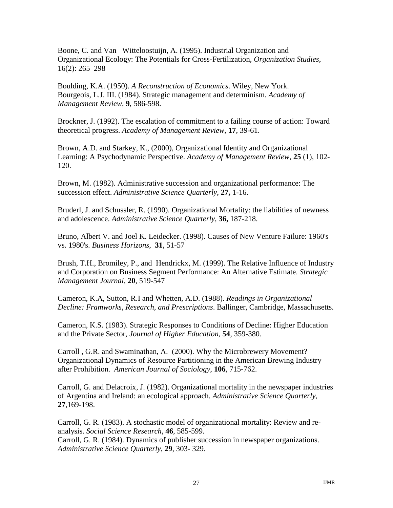Boone, C. and Van –Witteloostuijn, A. (1995). Industrial Organization and Organizational Ecology: The Potentials for Cross-Fertilization, *Organization Studies*, 16(2): 265–298

Boulding, K.A. (1950). *A Reconstruction of Economics*. Wiley, New York. Bourgeois, L.J. III. (1984). Strategic management and determinism. *Academy of Management Review*, **9**, 586-598.

Brockner, J. (1992). The escalation of commitment to a failing course of action: Toward theoretical progress. *Academy of Management Review*, **17**, 39-61.

Brown, A.D. and Starkey, K., (2000), Organizational Identity and Organizational Learning: A Psychodynamic Perspective. *Academy of Management Review*, **25** (1), 102- 120.

Brown, M. (1982). Administrative succession and organizational performance: The succession effect. *Administrative Science Quarterly*, **27,** 1-16.

Bruderl, J. and Schussler, R. (1990). Organizational Mortality: the liabilities of newness and adolescence. *Administrative Science Quarterly*, **36,** 187-218.

Bruno, Albert V. and Joel K. Leidecker. (1998). Causes of New Venture Failure: 1960's vs. 1980's. *Business Horizons*, **31**, 51-57

Brush, T.H., Bromiley, P., and Hendrickx, M. (1999). The Relative Influence of Industry and Corporation on Business Segment Performance: An Alternative Estimate. *Strategic Management Journal*, **20**, 519-547

Cameron, K.A, Sutton, R.I and Whetten, A.D. (1988). *Readings in Organizational Decline: Framworks, Research, and Prescriptions*. Ballinger, Cambridge, Massachusetts.

Cameron, K.S. (1983). Strategic Responses to Conditions of Decline: Higher Education and the Private Sector, *Journal of Higher Education*, **54**, 359-380.

Carroll , G.R. and Swaminathan, A. (2000). Why the Microbrewery Movement? Organizational Dynamics of Resource Partitioning in the American Brewing Industry after Prohibition. *American Journal of Sociology*, **106**, 715-762.

Carroll, G. and Delacroix, J. (1982). Organizational mortality in the newspaper industries of Argentina and Ireland: an ecological approach. *Administrative Science Quarterly,* **27**,169-198.

Carroll, G. R. (1983). A stochastic model of organizational mortality: Review and reanalysis. *Social Science Research*, **46**, 585-599.

Carroll, G. R. (1984). Dynamics of publisher succession in newspaper organizations. *Administrative Science Quarterly*, **29**, 303- 329.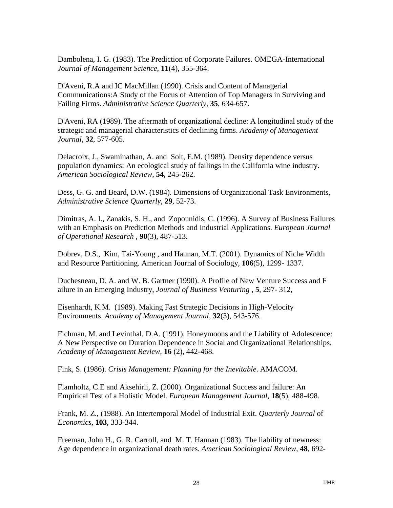Dambolena, I. G. (1983). The Prediction of Corporate Failures. OMEGA-International *Journal of Management Science*, **11**(4), 355-364.

D'Aveni, R.A and IC MacMillan (1990). Crisis and Content of Managerial Communications:A Study of the Focus of Attention of Top Managers in Surviving and Failing Firms. *Administrative Science Quarterly*, **35**, 634-657.

D'Aveni, RA (1989). The aftermath of organizational decline: A longitudinal study of the strategic and managerial characteristics of declining firms. *Academy of Management Journal*, **32**, 577-605.

Delacroix, J., Swaminathan, A. and Solt, E.M. (1989). Density dependence versus population dynamics: An ecological study of failings in the California wine industry. *American Sociological Review*, **54,** 245-262.

Dess, G. G. and Beard, D.W. (1984). Dimensions of Organizational Task Environments, *Administrative Science Quarterly*, **29**, 52-73.

Dimitras, A. I., Zanakis, S. H., and Zopounidis, C. (1996). A Survey of Business Failures with an Emphasis on Prediction Methods and Industrial Applications. *European Journal of Operational Research* , **90**(3), 487-513.

Dobrev, D.S., Kim, Tai-Young , and Hannan, M.T. (2001). Dynamics of Niche Width and Resource Partitioning. American Journal of Sociology, **106**(5), 1299- 1337.

Duchesneau, D. A. and W. B. Gartner (1990). A Profile of New Venture Success and F ailure in an Emerging Industry, *Journal of Business Venturing* , **5**, 297- 312,

Eisenhardt, K.M. (1989). Making Fast Strategic Decisions in High-Velocity Environments. *Academy of Management Journal*, **32**(3), 543-576.

Fichman, M. and Levinthal, D.A. (1991). Honeymoons and the Liability of Adolescence: A New Perspective on Duration Dependence in Social and Organizational Relationships. *Academy of Management Review,* **16** (2), 442-468.

Fink, S. (1986). *Crisis Management: Planning for the Inevitable*. AMACOM.

Flamholtz, C.E and Aksehirli, Z. (2000). Organizational Success and failure: An Empirical Test of a Holistic Model. *European Management Journal*, **18**(5), 488-498.

Frank, M. Z., (1988). An Intertemporal Model of Industrial Exit. *Quarterly Journal* of *Economics*, **103**, 333-344.

Freeman, John H., G. R. Carroll, and M. T. Hannan (1983). The liability of newness: Age dependence in organizational death rates. *American Sociological Review,* **48**, 692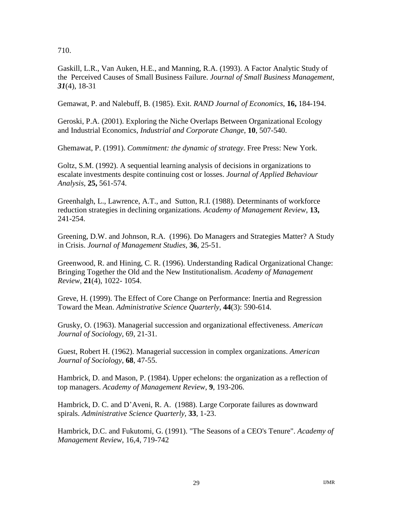710.

Gaskill, L.R., Van Auken, H.E., and Manning, R.A. (1993). A Factor Analytic Study of the Perceived Causes of Small Business Failure. *Journal of Small Business Management, 31*(4), 18-31

Gemawat, P. and Nalebuff, B. (1985). Exit. *RAND Journal of Economics*, **16,** 184-194.

Geroski, P.A. (2001). Exploring the Niche Overlaps Between Organizational Ecology and Industrial Economics, *Industrial and Corporate Change*, **10**, 507-540.

Ghemawat, P. (1991). *Commitment: the dynamic of strategy*. Free Press: New York.

Goltz, S.M. (1992). A sequential learning analysis of decisions in organizations to escalate investments despite continuing cost or losses. *Journal of Applied Behaviour Analysis*, **25,** 561-574.

Greenhalgh, L., Lawrence, A.T., and Sutton, R.I. (1988). Determinants of workforce reduction strategies in declining organizations. *Academy of Management Review*, **13,** 241-254.

Greening, D.W. and Johnson, R.A. (1996). Do Managers and Strategies Matter? A Study in Crisis. *Journal of Management Studies*, **36**, 25-51.

Greenwood, R. and Hining, C. R. (1996). Understanding Radical Organizational Change: Bringing Together the Old and the New Institutionalism. *Academy of Management Review*, **21**(4), 1022- 1054.

Greve, H. (1999). The Effect of Core Change on Performance: Inertia and Regression Toward the Mean. *Administrative Science Quarterly*, **44**(3): 590-614.

Grusky, O. (1963). Managerial succession and organizational effectiveness. *American Journal of Sociology*, 69, 21-31.

Guest, Robert H. (1962). Managerial succession in complex organizations. *American Journal of Sociology*, **68**, 47-55.

Hambrick, D. and Mason, P. (1984). Upper echelons: the organization as a reflection of top managers. *Academy of Management Review*, **9**, 193-206.

Hambrick, D. C. and D'Aveni, R. A. (1988). Large Corporate failures as downward spirals. *Administrative Science Quarterly,* **33**, 1-23.

Hambrick, D.C. and Fukutomi, G. (1991). "The Seasons of a CEO's Tenure". *Academy of Management Review*, 16,4, 719-742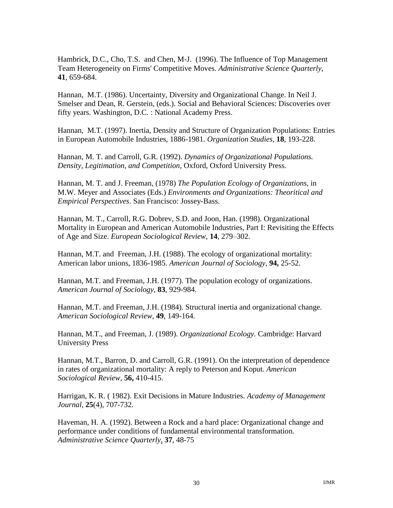Hambrick, D.C., Cho, T.S. and Chen, M-J. (1996). The Influence of Top Management Team Heterogeneity on Firms' Competitive Moves. *Administrative Science Quarterly*, **41**, 659-684.

Hannan, M.T. (1986). Uncertainty, Diversity and Organizational Change. In Neil J. Smelser and Dean, R. Gerstein, (eds.). Social and Behavioral Sciences: Discoveries over fifty years. Washington, D.C. : National Academy Press.

Hannan, M.T. (1997). Inertia, Density and Structure of Organization Populations: Entries in European Automobile Industries, 1886-1981. *Organization Studies*, **18**, 193-228.

Hannan, M. T. and Carroll, G.R. (1992). *Dynamics of Organizational Populations. Density, Legitimation, and Competition*, Oxford, Oxford University Press.

Hannan, M. T. and J. Freeman, (1978) *The Population Ecology of Organizations*, in M.W. Meyer and Associates (Eds.) *Environments and Organizations: Theoritical and Empirical Perspectives*. San Francisco: Jossey-Bass.

Hannan, M. T., Carroll, R.G. Dobrev, S.D. and Joon, Han. (1998). Organizational Mortality in European and American Automobile Industries, Part I: Revisiting the Effects of Age and Size. *European Sociological Review*, 14, 279–302.

Hannan, M.T. and Freeman, J.H. (1988). The ecology of organizational mortality: American labor unions, 1836-1985. *American Journal of Sociology*, **94,** 25-52.

Hannan, M.T. and Freeman, J.H. (1977). The population ecology of organizations. *American Journal of Sociology*, **83**, 929-984.

Hannan, M.T. and Freeman, J.H. (1984). Structural inertia and organizational change. *American Sociological Review*, **49**, 149-164.

Hannan, M.T., and Freeman, J. (1989). *Organizational Ecology.* Cambridge: Harvard University Press

Hannan, M.T., Barron, D. and Carroll, G.R. (1991). On the interpretation of dependence in rates of organizational mortality: A reply to Peterson and Koput. *American Sociological Review*, **56,** 410-415.

Harrigan, K. R. ( 1982). Exit Decisions in Mature Industries. *Academy of Management Journal*, **25**(4), 707-732.

Haveman, H. A. (1992). Between a Rock and a hard place: Organizational change and performance under conditions of fundamental environmental transformation. *Administrative Science Quarterly,* **37**, 48-75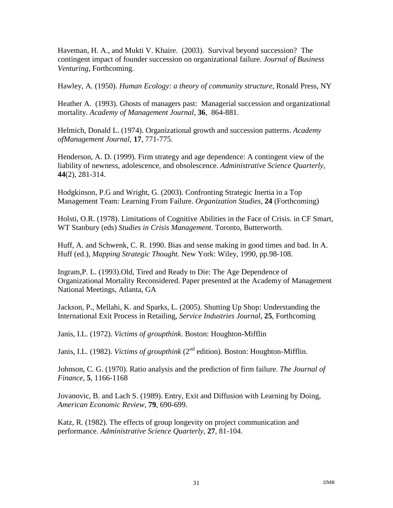Haveman, H. A., and Mukti V. Khaire. (2003). Survival beyond succession? The contingent impact of founder succession on organizational failure. *Journal of Business Venturing*, Forthcoming.

Hawley, A. (1950). *Human Ecology: a theory of community structure*, Ronald Press, NY

Heather A. (1993). Ghosts of managers past: Managerial succession and organizational mortality. *Academy of Management Journal*, **36**, 864-881.

Helmich, Donald L. (1974). Organizational growth and succession patterns. *Academy ofManagement Journal*, **17**, 771-775.

Henderson, A. D. (1999). Firm strategy and age dependence: A contingent view of the liability of newness, adolescence, and obsolescence. *Administrative Science Quarterly*, **44**(2), 281-314.

Hodgkinson, P.G and Wright, G. (2003). Confronting Strategic Inertia in a Top Management Team: Learning From Failure. *Organization Studies*, **24** (Forthcoming)

Holsti, O.R. (1978). Limitations of Cognitive Abilities in the Face of Crisis. in CF Smart, WT Stanbury (eds) *Studies in Crisis Management*. Toronto, Butterworth.

Huff, A. and Schwenk, C. R. 1990. Bias and sense making in good times and bad. In A. Huff (ed.), *Mapping Strategic Thought.* New York: Wiley, 1990, pp.98-108.

Ingram,P. L. (1993).Old, Tired and Ready to Die: The Age Dependence of Organizational Mortality Reconsidered. Paper presented at the Academy of Management National Meetings, Atlanta, GA

Jackson, P., Mellahi, K. and Sparks, L. (2005). Shutting Up Shop: Understanding the International Exit Process in Retailing, *Service Industries Journal*, **25**, Forthcoming

Janis, I.L. (1972). *Victims of groupthink*. Boston: Houghton-Mifflin

Janis, I.L. (1982). *Victims of groupthink* (2<sup>nd</sup> edition). Boston: Houghton-Mifflin.

Johnson, C. G. (1970). Ratio analysis and the prediction of firm failure. *The Journal of Finance*, **5**, 1166-1168

Jovanovic, B. and Lach S. (1989). Entry, Exit and Diffusion with Learning by Doing, *American Economic Review*, **79**, 690-699.

Katz, R. (1982). The effects of group longevity on project communication and performance. *Administrative Science Quarterly*, **27**, 81-104.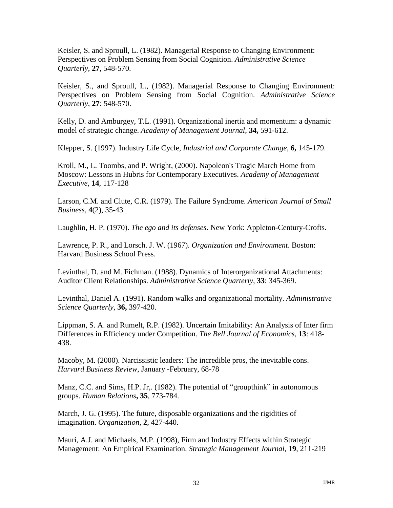Keisler, S. and Sproull, L. (1982). Managerial Response to Changing Environment: Perspectives on Problem Sensing from Social Cognition. *Administrative Science Quarterly*, **27**, 548-570.

Keisler, S., and Sproull, L., (1982). Managerial Response to Changing Environment: Perspectives on Problem Sensing from Social Cognition. *Administrative Science Quarterly*, **27**: 548-570.

Kelly, D. and Amburgey, T.L. (1991). Organizational inertia and momentum: a dynamic model of strategic change. *Academy of Management Journal*, **34,** 591-612.

Klepper, S. (1997). Industry Life Cycle, *Industrial and Corporate Change*, **6,** 145-179.

Kroll, M., L. Toombs, and P. Wright, (2000). Napoleon's Tragic March Home from Moscow: Lessons in Hubris for Contemporary Executives. *Academy of Management Executive*, **14**, 117-128

Larson, C.M. and Clute, C.R. (1979). The Failure Syndrome. *American Journal of Small Business*, **4**(2), 35-43

Laughlin, H. P. (1970). *The ego and its defenses*. New York: Appleton-Century-Crofts.

Lawrence, P. R., and Lorsch. J. W. (1967). *Organization and Environment*. Boston: Harvard Business School Press.

Levinthal, D. and M. Fichman. (1988). Dynamics of Interorganizational Attachments: Auditor Client Relationships. *Administrative Science Quarterly*, **33**: 345-369.

Levinthal, Daniel A. (1991). Random walks and organizational mortality. *Administrative Science Quarterly*, **36,** 397-420.

Lippman, S. A. and Rumelt, R.P. (1982). Uncertain Imitability: An Analysis of Inter firm Differences in Efficiency under Competition. *The Bell Journal of Economics*, **13**: 418- 438.

Macoby, M. (2000). Narcissistic leaders: The incredible pros, the inevitable cons. *Harvard Business Review*, January -February, 68-78

Manz, C.C. and Sims, H.P. Jr,. (1982). The potential of "groupthink" in autonomous groups. *Human Relations***, 35**, 773-784.

March, J. G. (1995). The future, disposable organizations and the rigidities of imagination. *Organization*, **2**, 427-440.

Mauri, A.J. and Michaels, M.P. (1998), Firm and Industry Effects within Strategic Management: An Empirical Examination. *Strategic Management Journal*, **19**, 211-219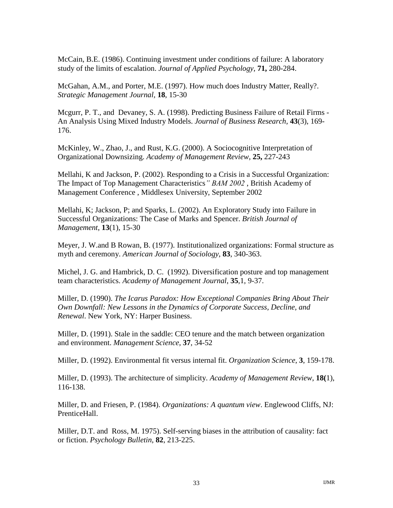McCain, B.E. (1986). Continuing investment under conditions of failure: A laboratory study of the limits of escalation. *Journal of Applied Psychology*, **71,** 280-284.

McGahan, A.M., and Porter, M.E. (1997). How much does Industry Matter, Really?. *Strategic Management Journal,* **18**, 15-30

Mcgurr, P. T., and Devaney, S. A. (1998). Predicting Business Failure of Retail Firms - An Analysis Using Mixed Industry Models. *Journal of Business Research*, **43**(3), 169- 176.

McKinley, W., Zhao, J., and Rust, K.G. (2000). A Sociocognitive Interpretation of Organizational Downsizing. *Academy of Management Review*, **25,** 227-243

Mellahi, K and Jackson, P. (2002). Responding to a Crisis in a Successful Organization: The Impact of Top Management Characteristics*"BAM2002*, British Academy of Management Conference , Middlesex University, September 2002

Mellahi, K; Jackson, P; and Sparks, L. (2002). An Exploratory Study into Failure in Successful Organizations: The Case of Marks and Spencer. *British Journal of Management*, **13**(1), 15-30

Meyer, J. W.and B Rowan, B. (1977). Institutionalized organizations: Formal structure as myth and ceremony. *American Journal of Sociology*, **83**, 340-363.

Michel, J. G. and Hambrick, D. C. (1992). Diversification posture and top management team characteristics. *Academy of Management Journal*, **35**,1, 9-37.

Miller, D. (1990). *The Icarus Paradox: How Exceptional Companies Bring About Their Own Downfall: New Lessons in the Dynamics of Corporate Success, Decline, and Renewal*. New York, NY: Harper Business.

Miller, D. (1991). Stale in the saddle: CEO tenure and the match between organization and environment. *Management Science*, **37**, 34-52

Miller, D. (1992). Environmental fit versus internal fit. *Organization Science*, **3**, 159-178.

Miller, D. (1993). The architecture of simplicity. *Academy of Management Review*, **18(**1), 116-138.

Miller, D. and Friesen, P. (1984). *Organizations: A quantum view*. Englewood Cliffs, NJ: PrenticeHall.

Miller, D.T. and Ross, M. 1975). Self-serving biases in the attribution of causality: fact or fiction. *Psychology Bulletin*, **82**, 213-225.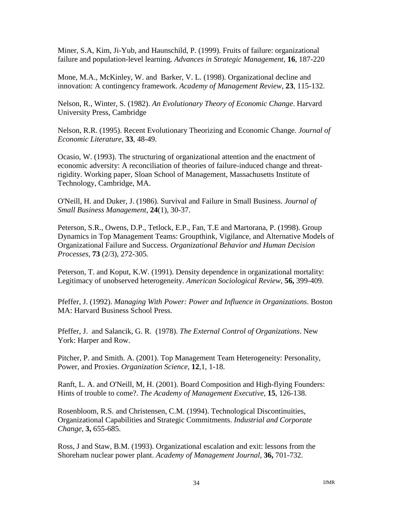Miner, S.A, Kim, Ji-Yub, and Haunschild, P. (1999). Fruits of failure: organizational failure and population-level learning. *Advances in Strategic Management*, **16**, 187-220

Mone, M.A., McKinley, W. and Barker, V. L. (1998). Organizational decline and innovation: A contingency framework. *Academy of Management Review*, **23**, 115-132.

Nelson, R., Winter, S. (1982). *An Evolutionary Theory of Economic Change*. Harvard University Press, Cambridge

Nelson, R.R. (1995). Recent Evolutionary Theorizing and Economic Change. *Journal of Economic Literature*, **33**, 48-49.

Ocasio, W. (1993). The structuring of organizational attention and the enactment of economic adversity: A reconciliation of theories of failure-induced change and threatrigidity. Working paper, Sloan School of Management, Massachusetts Institute of Technology, Cambridge, MA.

O'Neill, H. and Duker, J. (1986). Survival and Failure in Small Business. *Journal of Small Business Management*, **24**(1), 30-37.

Peterson, S.R., Owens, D.P., Tetlock, E.P., Fan, T.E and Martorana, P. (1998). Group Dynamics in Top Management Teams: Groupthink, Vigilance, and Alternative Models of Organizational Failure and Success*. Organizational Behavior and Human Decision Processes,* **73** (2/3), 272-305*.*

Peterson, T. and Koput, K.W. (1991). Density dependence in organizational mortality: Legitimacy of unobserved heterogeneity. *American Sociological Review,* **56,** 399-409.

Pfeffer, J. (1992). *Managing With Power: Power and Influence in Organizations*. Boston MA: Harvard Business School Press.

Pfeffer, J. and Salancik, G. R. (1978). *The External Control of Organizations*. New York: Harper and Row.

Pitcher, P. and Smith. A. (2001). Top Management Team Heterogeneity: Personality, Power, and Proxies. *Organization Science*, **12**,1, 1-18.

Ranft, L. A. and O'Neill, M, H. (2001). Board Composition and High-flying Founders: Hints of trouble to come?. *The Academy of Management Executive*, **15**, 126-138.

Rosenbloom, R.S. and Christensen, C.M. (1994). Technological Discontinuities, Organizational Capabilities and Strategic Commitments. *Industrial and Corporate Change*, **3,** 655-685.

Ross, J and Staw, B.M. (1993). Organizational escalation and exit: lessons from the Shoreham nuclear power plant. *Academy of Management Journal*, **36,** 701-732.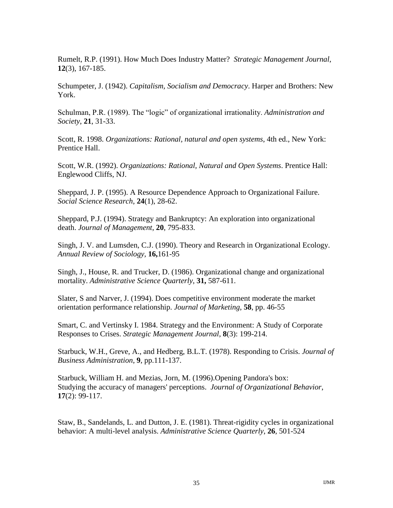Rumelt, R.P. (1991). How Much Does Industry Matter? *Strategic Management Journal*, **12**(3), 167-185.

Schumpeter, J. (1942). *Capitalism, Socialism and Democracy*. Harper and Brothers: New York.

Schulman, P.R. (1989). The "logic" of organizational irrationality. *Administration and Society*, **21**, 31-33.

Scott, R. 1998. *Organizations: Rational, natural and open systems*, 4th ed., New York: Prentice Hall.

Scott, W.R. (1992). *Organizations: Rational, Natural and Open Systems*. Prentice Hall: Englewood Cliffs, NJ.

Sheppard, J. P. (1995). A Resource Dependence Approach to Organizational Failure. *Social Science Research*, **24**(1), 28-62.

Sheppard, P.J. (1994). Strategy and Bankruptcy: An exploration into organizational death. *Journal of Management*, **20**, 795-833.

Singh, J. V. and Lumsden, C.J. (1990). Theory and Research in Organizational Ecology. *Annual Review of Sociology,* **16,**161-95

Singh, J., House, R. and Trucker, D. (1986). Organizational change and organizational mortality. *Administrative Science Quarterly*, **31,** 587-611.

Slater, S and Narver, J. (1994). Does competitive environment moderate the market orientation performance relationship. *Journal of Marketing*, **58**, pp. 46-55

Smart, C. and Vertinsky I. 1984. Strategy and the Environment: A Study of Corporate Responses to Crises. *Strategic Management Journal*, **8**(3): 199-214.

Starbuck, W.H., Greve, A., and Hedberg, B.L.T. (1978). Responding to Crisis. *Journal of Business Administration*, **9**, pp.111-137.

Starbuck, William H. and Mezias, Jorn, M. (1996).Opening Pandora's box: Studying the accuracy of managers' perceptions. *Journal of Organizational Behavior*, **17**(2): 99-117.

Staw, B., Sandelands, L. and Dutton, J. E. (1981). Threat-rigidity cycles in organizational behavior: A multi-level analysis. *Administrative Science Quarterly*, **26**, 501-524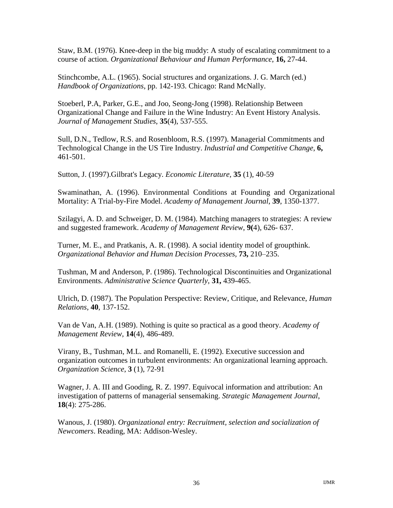Staw, B.M. (1976). Knee-deep in the big muddy: A study of escalating commitment to a course of action. *Organizational Behaviour and Human Performance*, **16,** 27-44.

Stinchcombe, A.L. (1965). Social structures and organizations. J. G. March (ed.) *Handbook of Organizations*, pp. 142-193. Chicago: Rand McNally.

Stoeberl, P.A, Parker, G.E., and Joo, Seong-Jong (1998). Relationship Between Organizational Change and Failure in the Wine Industry: An Event History Analysis. *Journal of Management Studies*, **35**(4), 537-555.

Sull, D.N., Tedlow, R.S. and Rosenbloom, R.S. (1997). Managerial Commitments and Technological Change in the US Tire Industry. *Industrial and Competitive Change*, **6,** 461-501.

Sutton, J. (1997).Gilbrat's Legacy. *Economic Literature,* **35** (1), 40-59

Swaminathan, A. (1996). Environmental Conditions at Founding and Organizational Mortality: A Trial-by-Fire Model. *Academy of Management Journal*, **39**, 1350-1377.

Szilagyi, A. D. and Schweiger, D. M. (1984). Matching managers to strategies: A review and suggested framework. *Academy of Management Review*, **9(**4), 626- 637.

Turner, M. E., and Pratkanis, A. R. (1998). A social identity model of groupthink. *Organizational Behavior and Human Decision Processes,* **73,** 210–235.

Tushman, M and Anderson, P. (1986). Technological Discontinuities and Organizational Environments. *Administrative Science Quarterly*, **31,** 439-465.

Ulrich, D. (1987). The Population Perspective: Review, Critique, and Relevance, *Human Relations,* **40**, 137-152.

Van de Van, A.H. (1989). Nothing is quite so practical as a good theory. *Academy of Management Review*, **14**(4), 486-489.

Virany, B., Tushman, M.L. and Romanelli, E. (1992). Executive succession and organization outcomes in turbulent environments: An organizational learning approach. *Organization Science*, **3** (1), 72-91

Wagner, J. A. III and Gooding, R. Z. 1997. Equivocal information and attribution: An investigation of patterns of managerial sensemaking. *Strategic Management Journal*, **18**(4): 275-286.

Wanous, J. (1980). *Organizational entry: Recruitment, selection and socialization of Newcomers*. Reading, MA: Addison-Wesley.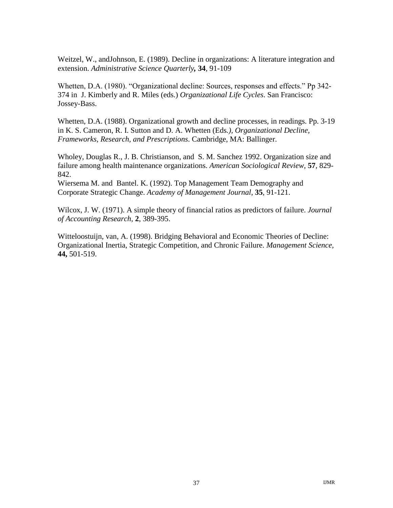Weitzel, W., andJohnson, E. (1989). Decline in organizations: A literature integration and extension. *Administrative Science Quarterly,* **34***,* 91-109

Whetten, D.A. (1980). "Organizational decline: Sources, responses and effects." Pp 342-374 in J. Kimberly and R. Miles (eds.) *Organizational Life Cycles*. San Francisco: Jossey-Bass.

Whetten, D.A. (1988). Organizational growth and decline processes, in readings. Pp. 3-19 in K. S. Cameron, R. I. Sutton and D. A. Whetten (Eds*.), Organizational Decline, Frameworks, Research, and Prescriptions*. Cambridge, MA: Ballinger.

Wholey, Douglas R., J. B. Christianson, and S. M. Sanchez 1992. Organization size and failure among health maintenance organizations. *American Sociological Review,* **57**, 829- 842.

Wiersema M. and Bantel. K. (1992). Top Management Team Demography and Corporate Strategic Change. *Academy of Management Journal*, **35**, 91-121.

Wilcox, J. W. (1971). A simple theory of financial ratios as predictors of failure. *Journal of Accounting Research*, **2**, 389-395.

Witteloostuijn, van, A. (1998). Bridging Behavioral and Economic Theories of Decline: Organizational Inertia, Strategic Competition, and Chronic Failure. *Management Science,* **44,** 501-519.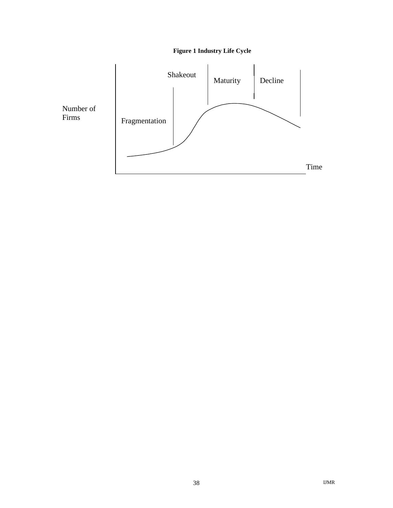

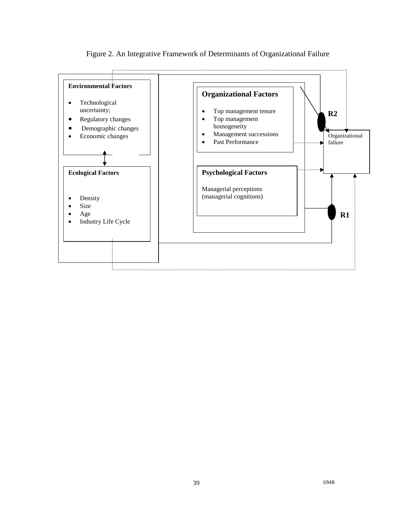

Figure 2. An Integrative Framework of Determinants of Organizational Failure